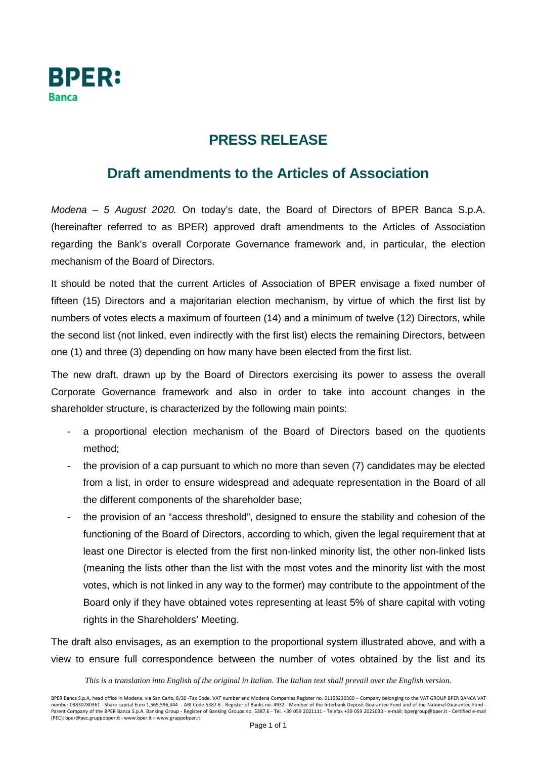

## **PRESS RELEASE**

## **Draft amendments to the Articles of Association**

Modena – 5 August 2020. On today's date, the Board of Directors of BPER Banca S.p.A. (hereinafter referred to as BPER) approved draft amendments to the Articles of Association regarding the Bank's overall Corporate Governance framework and, in particular, the election mechanism of the Board of Directors.

It should be noted that the current Articles of Association of BPER envisage a fixed number of fifteen (15) Directors and a majoritarian election mechanism, by virtue of which the first list by numbers of votes elects a maximum of fourteen (14) and a minimum of twelve (12) Directors, while the second list (not linked, even indirectly with the first list) elects the remaining Directors, between one (1) and three (3) depending on how many have been elected from the first list.

The new draft, drawn up by the Board of Directors exercising its power to assess the overall Corporate Governance framework and also in order to take into account changes in the shareholder structure, is characterized by the following main points:

- a proportional election mechanism of the Board of Directors based on the quotients method;
- the provision of a cap pursuant to which no more than seven (7) candidates may be elected from a list, in order to ensure widespread and adequate representation in the Board of all the different components of the shareholder base;
- the provision of an "access threshold", designed to ensure the stability and cohesion of the functioning of the Board of Directors, according to which, given the legal requirement that at least one Director is elected from the first non-linked minority list, the other non-linked lists (meaning the lists other than the list with the most votes and the minority list with the most votes, which is not linked in any way to the former) may contribute to the appointment of the Board only if they have obtained votes representing at least 5% of share capital with voting rights in the Shareholders' Meeting.

The draft also envisages, as an exemption to the proportional system illustrated above, and with a view to ensure full correspondence between the number of votes obtained by the list and its

## *This is a translation into English of the original in Italian. The Italian text shall prevail over the English version.*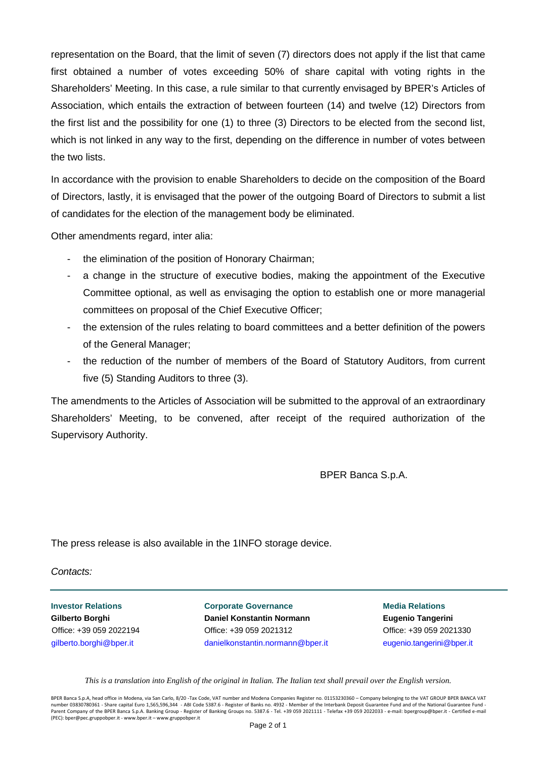representation on the Board, that the limit of seven (7) directors does not apply if the list that came first obtained a number of votes exceeding 50% of share capital with voting rights in the Shareholders' Meeting. In this case, a rule similar to that currently envisaged by BPER's Articles of Association, which entails the extraction of between fourteen (14) and twelve (12) Directors from the first list and the possibility for one (1) to three (3) Directors to be elected from the second list, which is not linked in any way to the first, depending on the difference in number of votes between the two lists.

In accordance with the provision to enable Shareholders to decide on the composition of the Board of Directors, lastly, it is envisaged that the power of the outgoing Board of Directors to submit a list of candidates for the election of the management body be eliminated.

Other amendments regard, inter alia:

- the elimination of the position of Honorary Chairman;
- a change in the structure of executive bodies, making the appointment of the Executive Committee optional, as well as envisaging the option to establish one or more managerial committees on proposal of the Chief Executive Officer;
- the extension of the rules relating to board committees and a better definition of the powers of the General Manager;
- the reduction of the number of members of the Board of Statutory Auditors, from current five (5) Standing Auditors to three (3).

The amendments to the Articles of Association will be submitted to the approval of an extraordinary Shareholders' Meeting, to be convened, after receipt of the required authorization of the Supervisory Authority.

BPER Banca S.p.A.

The press release is also available in the 1INFO storage device.

Contacts:

**Investor Relations Corporate Governance Media Relations Corporate Governance Media Relations Gilberto Borghi Daniel Konstantin Normann Eugenio Tangerini**  Office: +39 059 2022194 Office: +39 059 2021312 Office: +39 059 2021330 gilberto.borghi@bper.it danielkonstantin.normann@bper.it eugenio.tangerini@bper.it

*This is a translation into English of the original in Italian. The Italian text shall prevail over the English version.* 

BPER Banca S.p.A, head office in Modena, via San Carlo, 8/20 -Tax Code, VAT number and Modena Companies Register no. 01153230360 – Company belonging to the VAT GROUP BPER BANCA VAT number 03830780361 - Share capital Euro 1,565,596,344 - ABI Code 5387.6 - Register of Banks no. 4932 - Member of the Interbank Deposit Guarantee Fund and of the National Guarantee Fund Parent Company of the BPER Banca S.p.A. Banking Group - Register of Banking Groups no. 5387.6 - Tel. +39 059 2021111 - Telefax +39 059 2022033 - e-mail: bpergroup@bper.it - Certified e-mail (PEC): bper@pec.gruppobper.it - www.bper.it – www.gruppobper.it